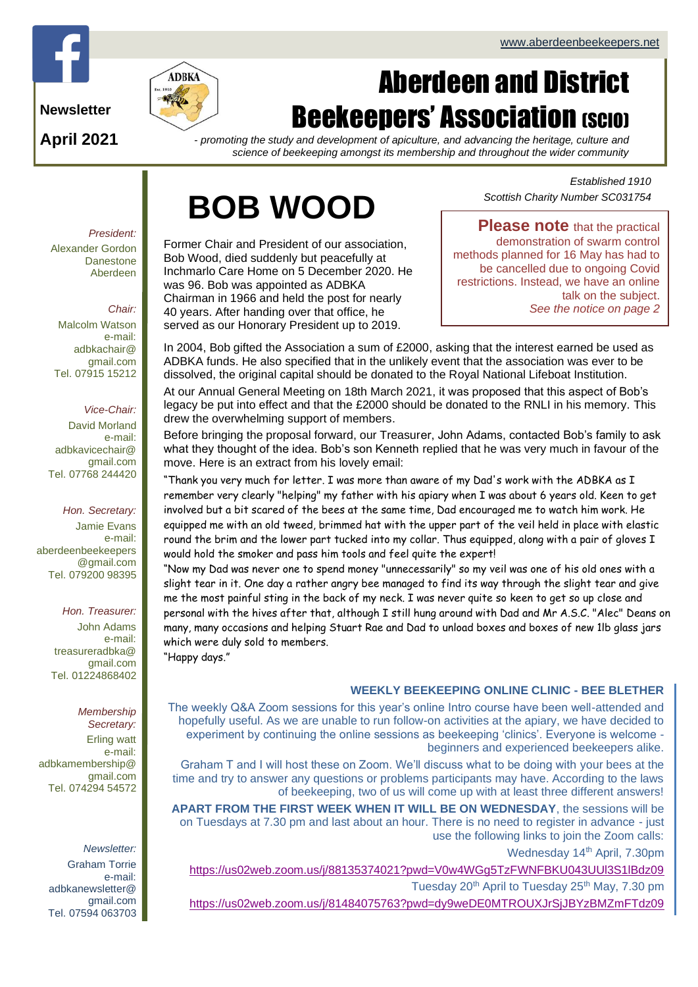

**Newsletter**

**April 2021**



*- promoting the study and development of apiculture, and advancing the heritage, culture and science of beekeeping amongst its membership and throughout the wider community*

# **BOB WOOD**

Former Chair and President of our association, Bob Wood, died suddenly but peacefully at Inchmarlo Care Home on 5 December 2020. He was 96. Bob was appointed as ADBKA Chairman in 1966 and held the post for nearly 40 years. After handing over that office, he served as our Honorary President up to 2019.

*Established 1910 Scottish Charity Number SC031754*

**Please note** that the practical demonstration of swarm control methods planned for 16 May has had to be cancelled due to ongoing Covid restrictions. Instead, we have an online talk on the subject. *See the notice on page 2*

In 2004, Bob gifted the Association a sum of £2000, asking that the interest earned be used as ADBKA funds. He also specified that in the unlikely event that the association was ever to be dissolved, the original capital should be donated to the Royal National Lifeboat Institution.

At our Annual General Meeting on 18th March 2021, it was proposed that this aspect of Bob's legacy be put into effect and that the £2000 should be donated to the RNLI in his memory. This drew the overwhelming support of members.

Before bringing the proposal forward, our Treasurer, John Adams, contacted Bob's family to ask what they thought of the idea. Bob's son Kenneth replied that he was very much in favour of the move. Here is an extract from his lovely email:

"Thank you very much for letter. I was more than aware of my Dad's work with the ADBKA as I remember very clearly "helping" my father with his apiary when I was about 6 years old. Keen to get involved but a bit scared of the bees at the same time, Dad encouraged me to watch him work. He equipped me with an old tweed, brimmed hat with the upper part of the veil held in place with elastic round the brim and the lower part tucked into my collar. Thus equipped, along with a pair of gloves I would hold the smoker and pass him tools and feel quite the expert!

"Now my Dad was never one to spend money "unnecessarily" so my veil was one of his old ones with a slight tear in it. One day a rather angry bee managed to find its way through the slight tear and give me the most painful sting in the back of my neck. I was never quite so keen to get so up close and personal with the hives after that, although I still hung around with Dad and Mr A.S.C. "Alec" Deans on many, many occasions and helping Stuart Rae and Dad to unload boxes and boxes of new 1lb glass jars which were duly sold to members. "Happy days."

#### **WEEKLY BEEKEEPING ONLINE CLINIC - BEE BLETHER**

The weekly Q&A Zoom sessions for this year's online Intro course have been well-attended and hopefully useful. As we are unable to run follow-on activities at the apiary, we have decided to experiment by continuing the online sessions as beekeeping 'clinics'. Everyone is welcome beginners and experienced beekeepers alike.

Graham T and I will host these on Zoom. We'll discuss what to be doing with your bees at the time and try to answer any questions or problems participants may have. According to the laws of beekeeping, two of us will come up with at least three different answers!

**APART FROM THE FIRST WEEK WHEN IT WILL BE ON WEDNESDAY**, the sessions will be on Tuesdays at 7.30 pm and last about an hour. There is no need to register in advance - just use the following links to join the Zoom calls:

Wednesday 14<sup>th</sup> April, 7.30pm

<https://us02web.zoom.us/j/88135374021?pwd=V0w4WGg5TzFWNFBKU043UUl3S1lBdz09>

Tuesday 20<sup>th</sup> April to Tuesday 25<sup>th</sup> May, 7.30 pm

<https://us02web.zoom.us/j/81484075763?pwd=dy9weDE0MTROUXJrSjJBYzBMZmFTdz09>

*President:* Alexander Gordon Danestone Aberdeen

#### *Chair:*

Malcolm Watson e-mail: adbkachair@ gmail.com Tel. 07915 15212

#### *Vice-Chair:*

David Morland e-mail: adbkavicechair@ gmail.com Tel. 07768 244420

*Hon. Secretary:* Jamie Evans e-mail: [aberdeenbeekeepers](mailto:aberdeenbeekeepers@gmail.com)

[@gmail.com](mailto:aberdeenbeekeepers@gmail.com) Tel. 079200 98395

#### *Hon. Treasurer:*

John Adams e-mail: treasureradbka@ gmail.com Tel. 01224868402

*Membership Secretary:*  Erling watt e-mail: adbkamembership@ gmail.com Tel. 074294 54572

*Newsletter:* Graham Torrie e-mail: adbkanewsletter@ gmail.com Tel. 07594 063703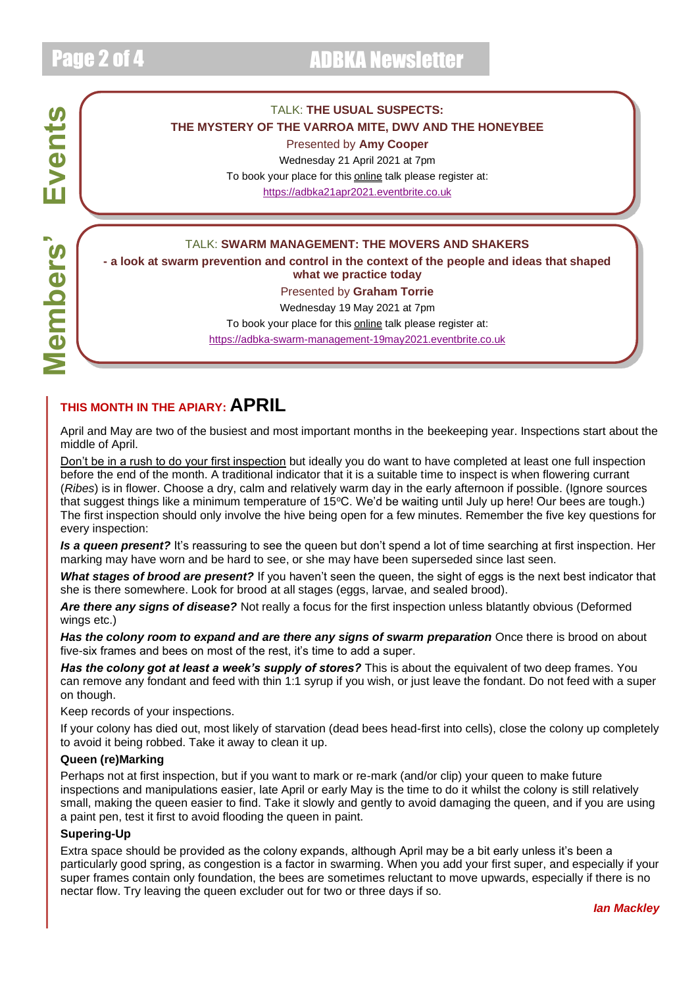**Members' Events**

**Members'** 

Events

#### TALK: **THE USUAL SUSPECTS: THE MYSTERY OF THE VARROA MITE, DWV AND THE HONEYBEE**

Presented by **Amy Cooper**

Wednesday 21 April 2021 at 7pm To book your place for this online talk please register at: [https://adbka21apr2021.eventbrite.co.uk](https://adbka21apr2021.eventbrite.co.uk/)

#### TALK: **SWARM MANAGEMENT: THE MOVERS AND SHAKERS**

**- a look at swarm prevention and control in the context of the people and ideas that shaped what we practice today**

#### Presented by **Graham Torrie**

Wednesday 19 May 2021 at 7pm To book your place for this **online** talk please register at: [https://adbka-swarm-management-19may2021.eventbrite.co.uk](https://adbka-swarm-management-19may2021.eventbrite.co.uk/)

### **THIS MONTH IN THE APIARY: APRIL**

April and May are two of the busiest and most important months in the beekeeping year. Inspections start about the middle of April.

Don't be in a rush to do your first inspection but ideally you do want to have completed at least one full inspection before the end of the month. A traditional indicator that it is a suitable time to inspect is when flowering currant (*Ribes*) is in flower. Choose a dry, calm and relatively warm day in the early afternoon if possible. (Ignore sources that suggest things like a minimum temperature of  $15^{\circ}$ C. We'd be waiting until July up here! Our bees are tough.) The first inspection should only involve the hive being open for a few minutes. Remember the five key questions for every inspection:

*Is a queen present?* It's reassuring to see the queen but don't spend a lot of time searching at first inspection. Her marking may have worn and be hard to see, or she may have been superseded since last seen.

*What stages of brood are present?* If you haven't seen the queen, the sight of eggs is the next best indicator that she is there somewhere. Look for brood at all stages (eggs, larvae, and sealed brood).

*Are there any signs of disease?* Not really a focus for the first inspection unless blatantly obvious (Deformed wings etc.)

**Has the colony room to expand and are there any signs of swarm preparation** Once there is brood on about five-six frames and bees on most of the rest, it's time to add a super.

*Has the colony got at least a week's supply of stores?* This is about the equivalent of two deep frames. You can remove any fondant and feed with thin 1:1 syrup if you wish, or just leave the fondant. Do not feed with a super on though.

Keep records of your inspections.

If your colony has died out, most likely of starvation (dead bees head-first into cells), close the colony up completely to avoid it being robbed. Take it away to clean it up.

#### **Queen (re)Marking**

Perhaps not at first inspection, but if you want to mark or re-mark (and/or clip) your queen to make future inspections and manipulations easier, late April or early May is the time to do it whilst the colony is still relatively small, making the queen easier to find. Take it slowly and gently to avoid damaging the queen, and if you are using a paint pen, test it first to avoid flooding the queen in paint.

#### **Supering-Up**

Extra space should be provided as the colony expands, although April may be a bit early unless it's been a particularly good spring, as congestion is a factor in swarming. When you add your first super, and especially if your super frames contain only foundation, the bees are sometimes reluctant to move upwards, especially if there is no nectar flow. Try leaving the queen excluder out for two or three days if so.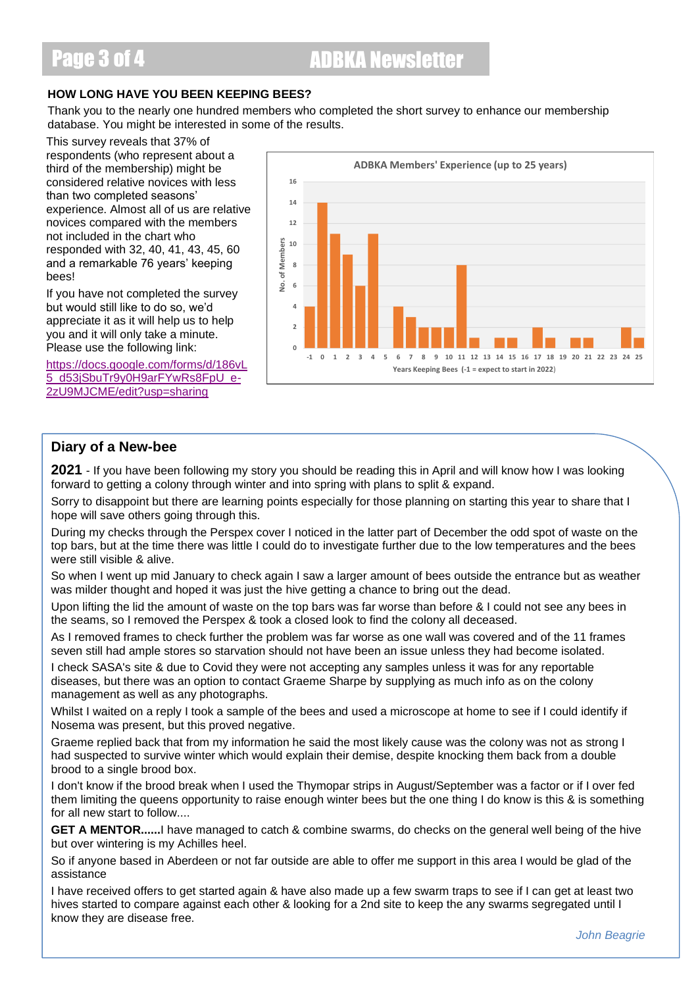### Page 3 of 4 ADBKA Newsletter

#### **HOW LONG HAVE YOU BEEN KEEPING BEES?**

Thank you to the nearly one hundred members who completed the short survey to enhance our membership database. You might be interested in some of the results.

This survey reveals that 37% of respondents (who represent about a third of the membership) might be considered relative novices with less than two completed seasons' experience. Almost all of us are relative novices compared with the members not included in the chart who responded with 32, 40, 41, 43, 45, 60 and a remarkable 76 years' keeping bees!

If you have not completed the survey but would still like to do so, we'd appreciate it as it will help us to help you and it will only take a minute. Please use the following link:

[https://docs.google.com/forms/d/186vL](https://docs.google.com/forms/d/186vL5_d53jSbuTr9y0H9arFYwRs8FpU_e-2zU9MJCME/edit?usp=sharing) [5\\_d53jSbuTr9y0H9arFYwRs8FpU\\_e-](https://docs.google.com/forms/d/186vL5_d53jSbuTr9y0H9arFYwRs8FpU_e-2zU9MJCME/edit?usp=sharing)[2zU9MJCME/edit?usp=sharing](https://docs.google.com/forms/d/186vL5_d53jSbuTr9y0H9arFYwRs8FpU_e-2zU9MJCME/edit?usp=sharing)



#### **Diary of a New-bee**

**2021** - If you have been following my story you should be reading this in April and will know how I was looking forward to getting a colony through winter and into spring with plans to split & expand.

Sorry to disappoint but there are learning points especially for those planning on starting this year to share that I hope will save others going through this.

During my checks through the Perspex cover I noticed in the latter part of December the odd spot of waste on the top bars, but at the time there was little I could do to investigate further due to the low temperatures and the bees were still visible & alive.

So when I went up mid January to check again I saw a larger amount of bees outside the entrance but as weather was milder thought and hoped it was just the hive getting a chance to bring out the dead.

Upon lifting the lid the amount of waste on the top bars was far worse than before & I could not see any bees in the seams, so I removed the Perspex & took a closed look to find the colony all deceased.

As I removed frames to check further the problem was far worse as one wall was covered and of the 11 frames seven still had ample stores so starvation should not have been an issue unless they had become isolated.

I check SASA's site & due to Covid they were not accepting any samples unless it was for any reportable diseases, but there was an option to contact Graeme Sharpe by supplying as much info as on the colony management as well as any photographs.

Whilst I waited on a reply I took a sample of the bees and used a microscope at home to see if I could identify if Nosema was present, but this proved negative.

Graeme replied back that from my information he said the most likely cause was the colony was not as strong I had suspected to survive winter which would explain their demise, despite knocking them back from a double brood to a single brood box.

I don't know if the brood break when I used the Thymopar strips in August/September was a factor or if I over fed them limiting the queens opportunity to raise enough winter bees but the one thing I do know is this & is something for all new start to follow....

**GET A MENTOR......**I have managed to catch & combine swarms, do checks on the general well being of the hive but over wintering is my Achilles heel.

So if anyone based in Aberdeen or not far outside are able to offer me support in this area I would be glad of the assistance

I have received offers to get started again & have also made up a few swarm traps to see if I can get at least two hives started to compare against each other & looking for a 2nd site to keep the any swarms segregated until I know they are disease free.